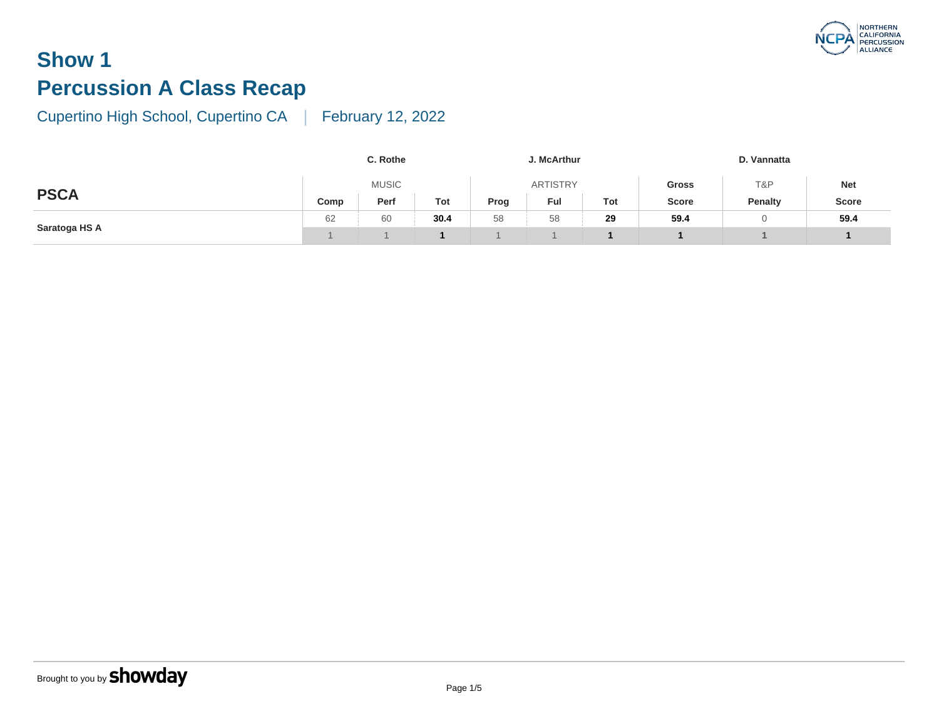# **Show 1 Percussion A Class Recap**

|               |      | C. Rothe     |      |      |              |     |              |
|---------------|------|--------------|------|------|--------------|-----|--------------|
| <b>PSCA</b>   |      | <b>MUSIC</b> |      |      | <b>Gross</b> |     |              |
|               | Comp | Perf         | Tot  | Prog | Ful          | Tot | <b>Score</b> |
| Saratoga HS A | 62   | 60           | 30.4 | 58   | 58           | 29  | 59.4         |
|               |      |              |      |      |              |     |              |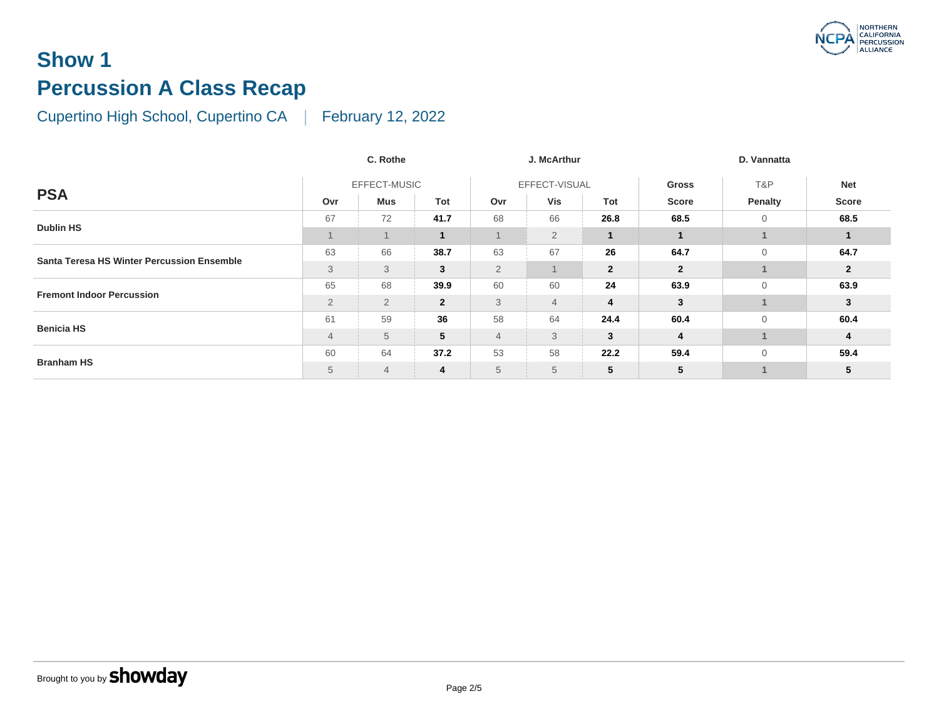#### **Show 1 Percussion A Class Recap**

|                                                   | C. Rothe       |                |                | J. McArthur     |                |                |                |
|---------------------------------------------------|----------------|----------------|----------------|-----------------|----------------|----------------|----------------|
| <b>PSA</b>                                        |                | EFFECT-MUSIC   |                | EFFECT-VISUAL   |                |                | <b>Gross</b>   |
|                                                   | Ovr            | Mus            | Tot            | Ovr             | Vis            | Tot            | <b>Score</b>   |
| <b>Dublin HS</b>                                  | 67             | 72             | 41.7           | 68              | 66             | 26.8           | 68.5           |
|                                                   |                |                | $\mathbf{1}$   |                 | $\overline{2}$ |                |                |
| <b>Santa Teresa HS Winter Percussion Ensemble</b> | 63             | 66             | 38.7           | 63              | 67             | 26             | 64.7           |
|                                                   | 3              | 3              | 3              | $\overline{2}$  |                | $\overline{2}$ | $\overline{2}$ |
| <b>Fremont Indoor Percussion</b>                  | 65             | 68             | 39.9           | 60              | 60             | 24             | 63.9           |
|                                                   | $\overline{2}$ | $\overline{2}$ | $\overline{2}$ | 3               | $\overline{4}$ | 4              | $\mathbf{3}$   |
| <b>Benicia HS</b>                                 | 61             | 59             | 36             | 58              | 64             | 24.4           | 60.4           |
|                                                   | $\overline{4}$ | 5              | 5              | $\overline{4}$  | 3              | 3              | $\overline{4}$ |
| <b>Branham HS</b>                                 | 60             | 64             | 37.2           | 53              | 58             | 22.2           | 59.4           |
|                                                   | 5              | 4              | 4              | $5\phantom{.0}$ | 5              | 5              | 5              |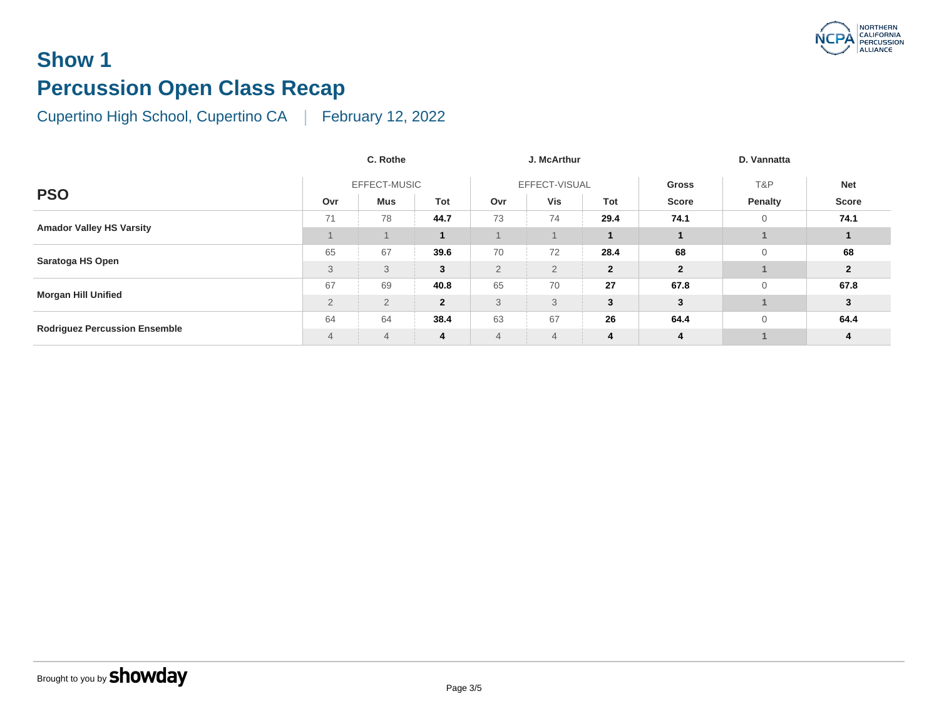#### **Show 1 Percussion Open Class Recap**

|                                      |                | C. Rothe       |              |                |                |              |                |
|--------------------------------------|----------------|----------------|--------------|----------------|----------------|--------------|----------------|
| <b>PSO</b>                           | EFFECT-MUSIC   |                |              |                | EFFECT-VISUAL  | <b>Gross</b> |                |
|                                      | Ovr            | Mus            | Tot          | Ovr            | Vis            | Tot          | <b>Score</b>   |
| <b>Amador Valley HS Varsity</b>      | 71             | 78             | 44.7         | 73             | 74             | 29.4         | 74.1           |
|                                      |                |                |              |                |                |              |                |
| Saratoga HS Open                     | 65             | 67             | 39.6         | 70             | 72             | 28.4         | 68             |
|                                      | 3              | 3              | 3            | $\overline{2}$ | $\overline{2}$ | $\mathbf{2}$ | $\overline{2}$ |
| <b>Morgan Hill Unified</b>           | 67             | 69             | 40.8         | 65             | 70             | 27           | 67.8           |
|                                      | $\overline{2}$ | $\overline{2}$ | $\mathbf{2}$ | 3              | 3              | 3            | 3              |
| <b>Rodriguez Percussion Ensemble</b> | 64             | 64             | 38.4         | 63             | 67             | 26           | 64.4           |
|                                      | $\overline{4}$ | $\overline{4}$ | 4            | $\overline{4}$ | $\overline{4}$ | 4            | 4              |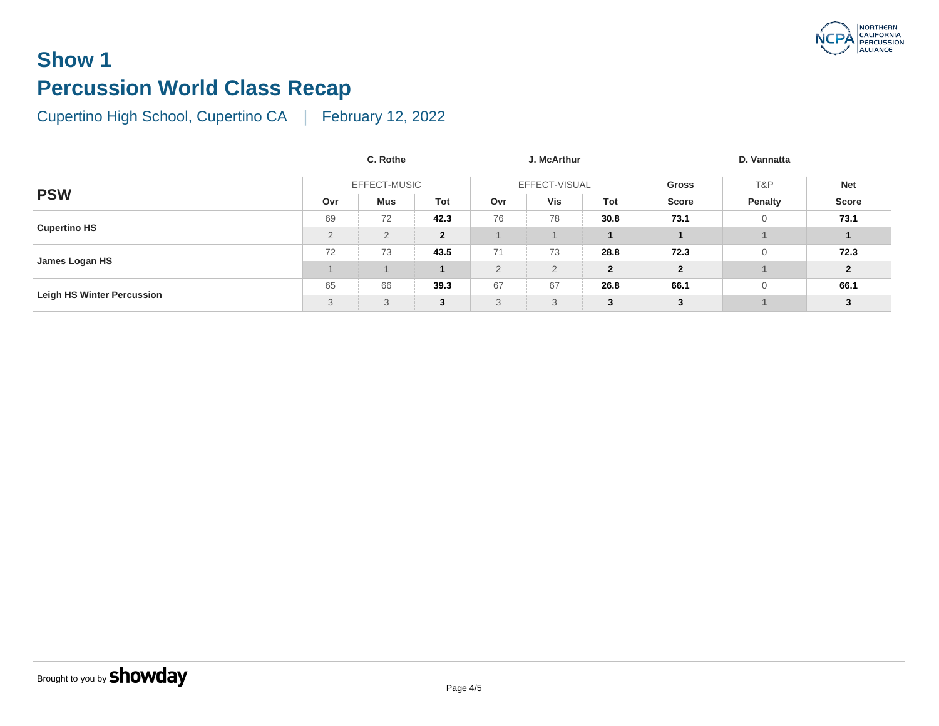# **Show 1 Percussion World Class Recap**

|                                   | C. Rothe       |                |                | J. McArthur    |     |                |                |
|-----------------------------------|----------------|----------------|----------------|----------------|-----|----------------|----------------|
|                                   | EFFECT-MUSIC   |                |                | EFFECT-VISUAL  |     |                | <b>Gross</b>   |
| <b>PSW</b>                        | Ovr            | <b>Mus</b>     | Tot            | Ovr            | Vis | Tot            | <b>Score</b>   |
| <b>Cupertino HS</b>               | 69             | 72             | 42.3           | 76             | 78  | 30.8           | 73.1           |
|                                   | $\overline{2}$ | $\overline{2}$ | $\overline{2}$ |                |     |                |                |
| James Logan HS                    | 72             | 73             | 43.5           | 71             | 73  | 28.8           | 72.3           |
|                                   |                |                | $\mathbf{1}$   | $\overline{2}$ | 2   | $\overline{2}$ | $\overline{2}$ |
| <b>Leigh HS Winter Percussion</b> | 65             | 66             | 39.3           | 67             | 67  | 26.8           | 66.1           |
|                                   | 3              | 3              | 3              | 3              | 3   | 3              | 3              |